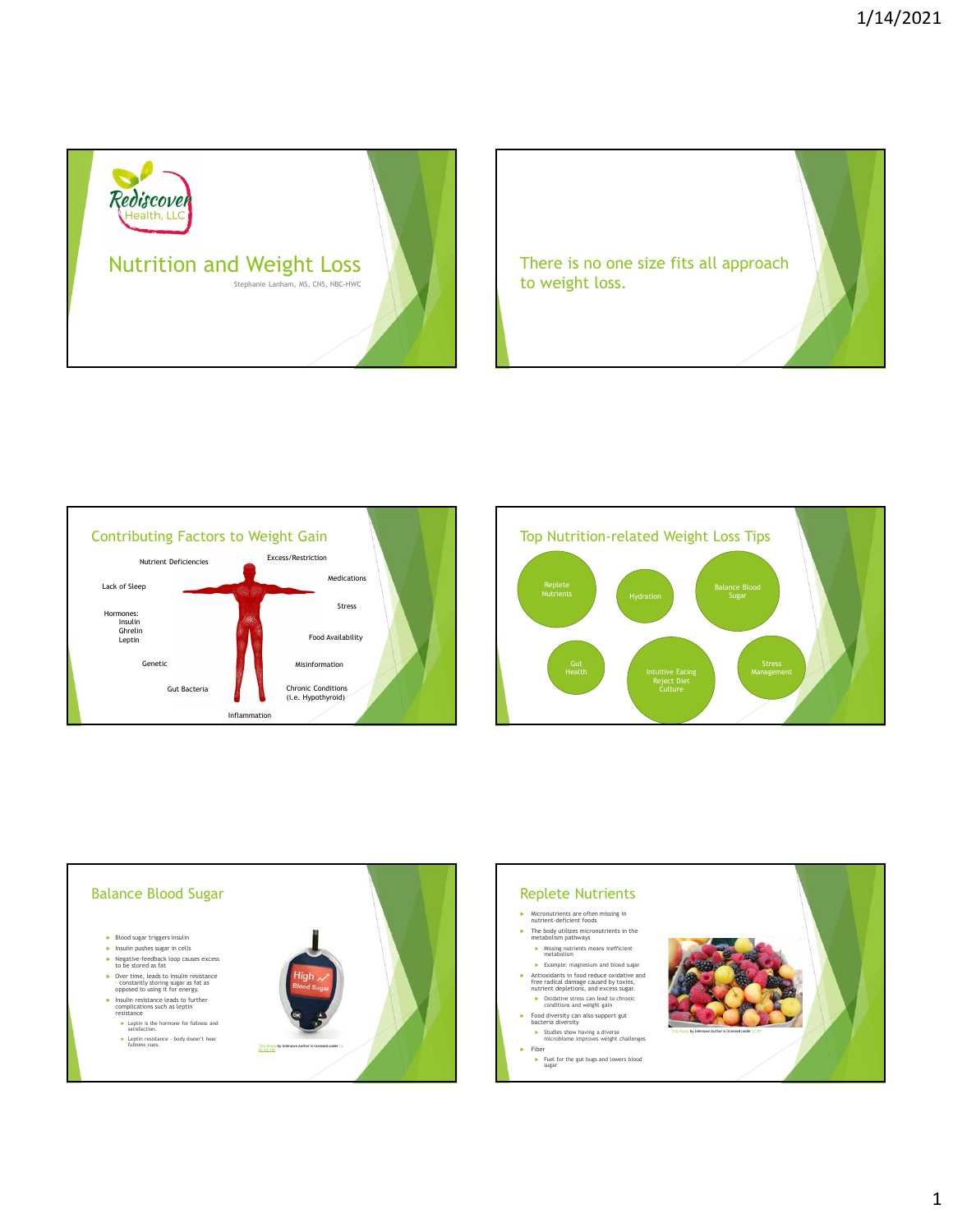









1